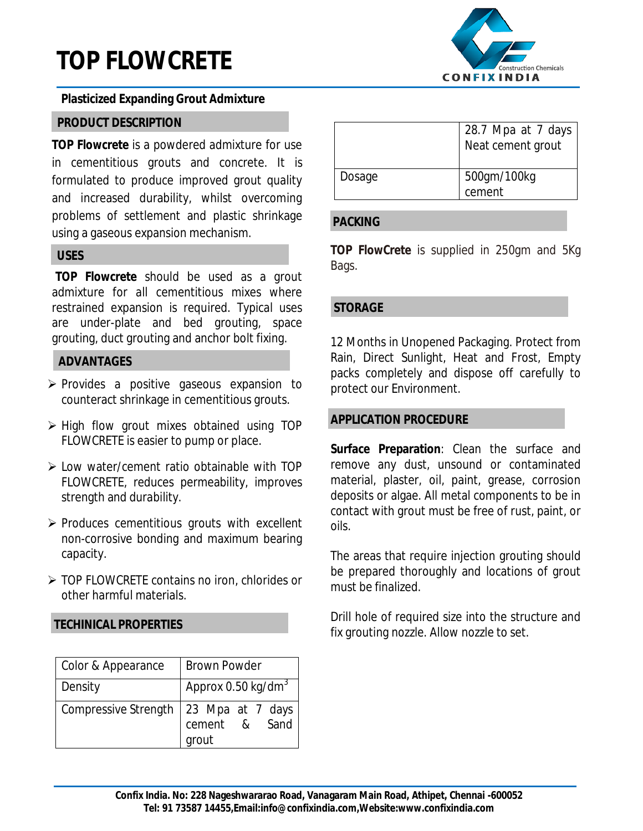# **TOP FLOWCRETE**



#### **Plasticized Expanding Grout Admixture**

## **PRODUCT DESCRIPTION**

**TOP Flowcrete** is a powdered admixture for use in cementitious grouts and concrete. It is formulated to produce improved grout quality and increased durability, whilst overcoming problems of settlement and plastic shrinkage using a gaseous expansion mechanism.

## **USES**

**TOP Flowcrete** should be used as a grout admixture for all cementitious mixes where restrained expansion is required. Typical uses are under-plate and bed grouting, space grouting, duct grouting and anchor bolt fixing.

#### **ADVANTAGES**

- $\triangleright$  Provides a positive gaseous expansion to counteract shrinkage in cementitious grouts.
- $\triangleright$  High flow grout mixes obtained using TOP FLOWCRETE is easier to pump or place.
- $\triangleright$  Low water/cement ratio obtainable with TOP FLOWCRETE, reduces permeability, improves strength and durability.
- $\triangleright$  Produces cementitious grouts with excellent non-corrosive bonding and maximum bearing capacity.
- ▶ TOP FLOWCRETE contains no iron, chlorides or other harmful materials.

## **TECHINICAL PROPERTIES**

| Color & Appearance          | <b>Brown Powder</b>                           |  |  |  |
|-----------------------------|-----------------------------------------------|--|--|--|
| Density                     | Approx $0.50$ kg/dm <sup>3</sup>              |  |  |  |
| <b>Compressive Strength</b> | 23 Mpa at 7 days<br>Sand<br>cement &<br>grout |  |  |  |

|        | 28.7 Mpa at 7 days<br>Neat cement grout |
|--------|-----------------------------------------|
| Dosage | 500gm/100kg<br>cement                   |

#### **PACKING**

**TOP FlowCrete** is supplied in 250gm and 5Kg Bags.

#### **STORAGE**

12 Months in Unopened Packaging. Protect from Rain, Direct Sunlight, Heat and Frost, Empty packs completely and dispose off carefully to protect our Environment.

#### **APPLICATION PROCEDURE**

**Surface Preparation**: Clean the surface and remove any dust, unsound or contaminated material, plaster, oil, paint, grease, corrosion deposits or algae. All metal components to be in contact with grout must be free of rust, paint, or oils.

The areas that require injection grouting should be prepared thoroughly and locations of grout must be finalized.

Drill hole of required size into the structure and fix grouting nozzle. Allow nozzle to set.